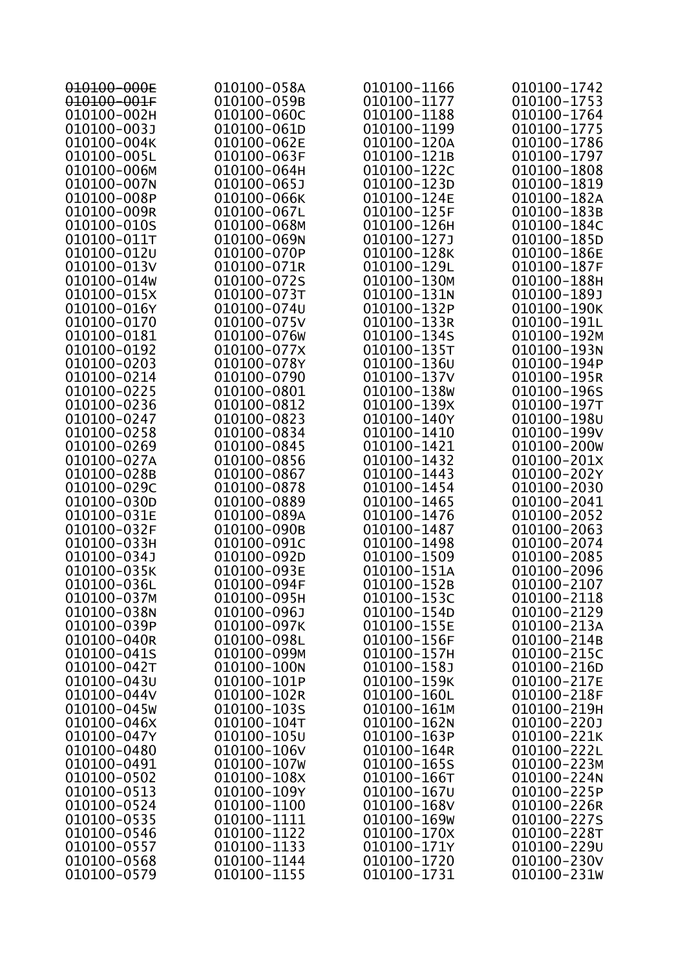| 010100-000E | 010100-058A | 010100-1166 | 010100-1742 |
|-------------|-------------|-------------|-------------|
| 010100-001F | 010100-059B | 010100-1177 | 010100-1753 |
| 010100-002н | 010100-060C | 010100-1188 | 010100-1764 |
| 010100-003J | 010100-061D | 010100-1199 | 010100-1775 |
| 010100-004K | 010100-062E | 010100-120A | 010100-1786 |
| 010100-005L | 010100-063F | 010100-121B | 010100-1797 |
| 010100-006м | 010100-064н | 010100-122C | 010100-1808 |
| 010100-007N | 010100-065J | 010100-123D | 010100-1819 |
| 010100-008P | 010100-066K | 010100-124E | 010100-182A |
| 010100-009R | 010100-067L | 010100-125F | 010100-183B |
| 010100-010S | 010100-068M | 010100-126H | 010100-184C |
| 010100-011T | 010100-069N | 010100-127J | 010100-185D |
| 010100-012u | 010100-070P | 010100-128K | 010100-186E |
| 010100-013V | 010100-071R | 010100-129L | 010100-187F |
| 010100-014w | 010100-072S | 010100-130M | 010100-188H |
| 010100-015X | 010100-073T | 010100-131N | 010100-189J |
| 010100-016Y | 010100-074u | 010100-132P | 010100-190K |
| 010100-0170 | 010100-075V | 010100-133R | 010100-191L |
| 010100-0181 | 010100-076w | 010100-134s | 010100-192M |
| 010100-0192 | 010100-077X | 010100-135T | 010100-193N |
| 010100-0203 | 010100-078Y | 010100-136U | 010100-194P |
| 010100-0214 | 010100-0790 | 010100-137V | 010100-195R |
| 010100-0225 | 010100-0801 | 010100-138W | 010100-196S |
| 010100-0236 | 010100-0812 | 010100-139x | 010100-197T |
| 010100-0247 | 010100-0823 | 010100-140Y | 010100-1980 |
| 010100-0258 | 010100-0834 | 010100-1410 | 010100-199V |
| 010100-0269 | 010100-0845 | 010100-1421 | 010100-200w |
| 010100-027A | 010100-0856 | 010100-1432 | 010100-201x |
| 010100-028B | 010100-0867 | 010100-1443 | 010100-202Y |
| 010100-029C | 010100-0878 | 010100-1454 | 010100-2030 |
| 010100-030D | 010100-0889 | 010100-1465 | 010100-2041 |
| 010100-031E | 010100-089A | 010100-1476 | 010100-2052 |
| 010100-032F | 010100-090B | 010100-1487 | 010100-2063 |
| 010100-033H | 010100-091C | 010100-1498 | 010100-2074 |
| 010100-034J | 010100-092D | 010100-1509 | 010100-2085 |
| 010100-035K | 010100-093E | 010100-151A | 010100-2096 |
| 010100-036L | 010100-094F | 010100-152B | 010100-2107 |
| 010100-037M | 010100-095H | 010100-153C | 010100-2118 |
| 010100-038N | 010100-096J | 010100-154D | 010100-2129 |
| 010100-039P | 010100-097K | 010100-155E | 010100-213A |
| 010100-040R | 010100-098L | 010100-156F | 010100-214B |
| 010100-041s | 010100-099M | 010100-157H | 010100-215C |
| 010100-042T | 010100-100N | 010100-158J | 010100-216D |
| 010100-043u | 010100-101P | 010100-159K | 010100-217E |
| 010100-044V | 010100-102R | 010100-160L | 010100-218F |
| 010100-045w | 010100-103s | 010100-161M | 010100-219H |
| 010100-046X | 010100-104T | 010100-162N | 010100-220J |
| 010100-047Y | 010100-105u | 010100-163P | 010100-221K |
| 010100-0480 | 010100-106V | 010100-164R | 010100-222L |
| 010100-0491 | 010100-107w | 010100-165s | 010100-223M |
| 010100-0502 | 010100-108X | 010100-166Т | 010100-224N |
| 010100-0513 | 010100-109Y | 010100-167U | 010100-225P |
| 010100-0524 | 010100-1100 | 010100-168V | 010100-226R |
| 010100-0535 | 010100-1111 | 010100-169w | 010100-227S |
| 010100-0546 | 010100-1122 | 010100-170x | 010100-228T |
| 010100-0557 | 010100-1133 | 010100-171Y | 010100-2290 |
| 010100-0568 | 010100-1144 | 010100-1720 | 010100-230V |
| 010100-0579 | 010100-1155 | 010100-1731 | 010100-231w |
|             |             |             |             |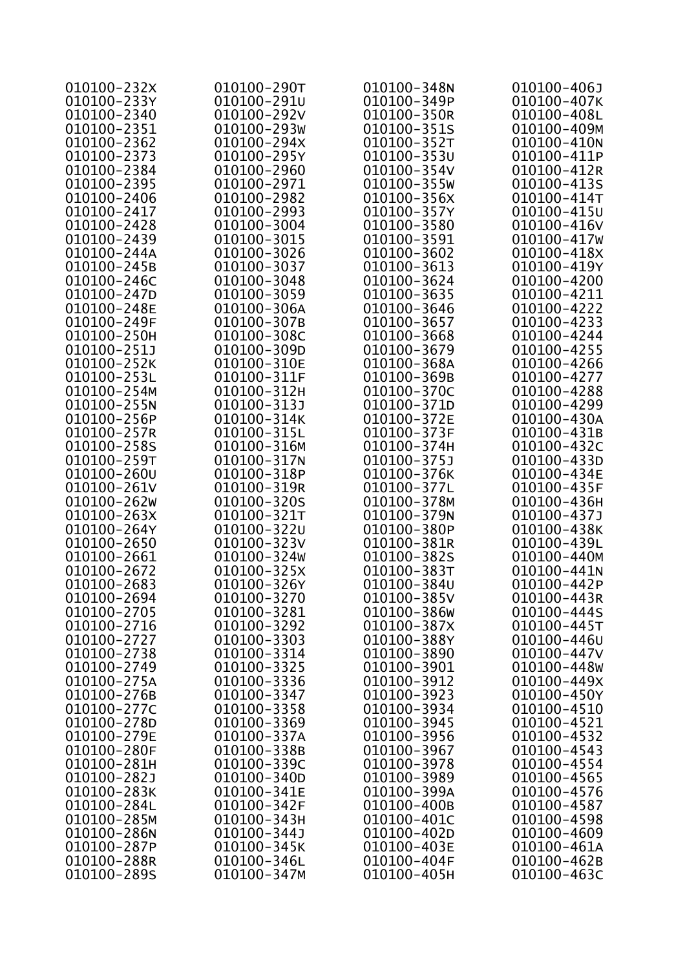| 010100-232X | 010100-290T | 010100-348N | 010100-406J |
|-------------|-------------|-------------|-------------|
| 010100-233Y | 010100-291u | 010100-349P | 010100-407K |
| 010100-2340 | 010100-292V | 010100-350R | 010100-408L |
| 010100-2351 | 010100-293w | 010100-351s | 010100-409M |
| 010100-2362 | 010100-294X | 010100-352T | 010100-410N |
|             |             |             |             |
| 010100-2373 | 010100-295Y | 010100-353U | 010100-411P |
| 010100-2384 | 010100-2960 | 010100-354V | 010100-412R |
| 010100-2395 | 010100-2971 | 010100-355W | 010100-413s |
| 010100-2406 | 010100-2982 | 010100-356X | 010100-414T |
| 010100-2417 | 010100-2993 | 010100-357Y | 010100-415U |
| 010100-2428 | 010100-3004 | 010100-3580 | 010100-416V |
| 010100-2439 | 010100-3015 | 010100-3591 | 010100-417w |
| 010100-244A | 010100-3026 | 010100-3602 | 010100-418X |
| 010100-245B | 010100-3037 | 010100-3613 | 010100-419Y |
| 010100-246C | 010100-3048 | 010100-3624 | 010100-4200 |
| 010100-247D | 010100-3059 | 010100-3635 | 010100-4211 |
| 010100-248E | 010100-306A | 010100-3646 | 010100-4222 |
| 010100-249F | 010100-307B | 010100-3657 | 010100-4233 |
| 010100-250H | 010100-308C | 010100-3668 | 010100-4244 |
| 010100-251J | 010100-309D | 010100-3679 | 010100-4255 |
| 010100-252K | 010100-310E | 010100-368A | 010100-4266 |
|             |             |             |             |
| 010100-253L | 010100-311F | 010100-369B | 010100-4277 |
| 010100-254M | 010100-312H | 010100-370C | 010100-4288 |
| 010100-255N | 010100-313J | 010100-371D | 010100-4299 |
| 010100-256P | 010100-314K | 010100-372E | 010100-430A |
| 010100-257R | 010100-315L | 010100-373F | 010100-431B |
| 010100-258S | 010100-316M | 010100-374H | 010100-432C |
| 010100-259T | 010100-317N | 010100-375J | 010100-433D |
| 010100-260U | 010100-318P | 010100-376K | 010100-434E |
| 010100-261V | 010100-319R | 010100-377L | 010100-435F |
| 010100-262w | 010100-320s | 010100-378M | 010100-436H |
| 010100-263X | 010100-321T | 010100-379N | 010100-437J |
| 010100-264Y | 010100-3220 | 010100-380P | 010100-438K |
| 010100-2650 | 010100-323V | 010100-381R | 010100-439L |
| 010100-2661 | 010100-324w | 010100-382S | 010100-440M |
| 010100-2672 | 010100-325x | 010100-383T | 010100-441N |
| 010100-2683 | 010100-326Y | 010100-384U | 010100-442P |
| 010100-2694 | 010100-3270 | 010100-385V | 010100-443R |
|             |             |             |             |
| 010100-2705 | 010100-3281 | 010100-386w | 010100-444S |
| 010100-2716 | 010100-3292 | 010100-387X | 010100-445T |
| 010100-2727 | 010100-3303 | 010100-388Y | 010100-446U |
| 010100-2738 | 010100-3314 | 010100-3890 | 010100-447V |
| 010100-2749 | 010100-3325 | 010100-3901 | 010100-448w |
| 010100-275A | 010100-3336 | 010100-3912 | 010100-449X |
| 010100-276B | 010100-3347 | 010100-3923 | 010100-450Y |
| 010100-277C | 010100-3358 | 010100-3934 | 010100-4510 |
| 010100-278D | 010100-3369 | 010100-3945 | 010100-4521 |
| 010100-279E | 010100-337A | 010100-3956 | 010100-4532 |
| 010100-280F | 010100-338B | 010100-3967 | 010100-4543 |
| 010100-281H | 010100-339C | 010100-3978 | 010100-4554 |
| 010100-282J | 010100-340D | 010100-3989 | 010100-4565 |
| 010100-283K | 010100-341E | 010100-399A | 010100-4576 |
| 010100-284L | 010100-342F | 010100-400B | 010100-4587 |
| 010100-285M | 010100-343H | 010100-401C | 010100-4598 |
| 010100-286N | 010100-344J | 010100-402D | 010100-4609 |
| 010100-287P | 010100-345K | 010100-403E | 010100-461A |
| 010100-288R | 010100-346L | 010100-404F | 010100-462B |
|             |             |             |             |
| 010100-289S | 010100-347M | 010100-405H | 010100-463C |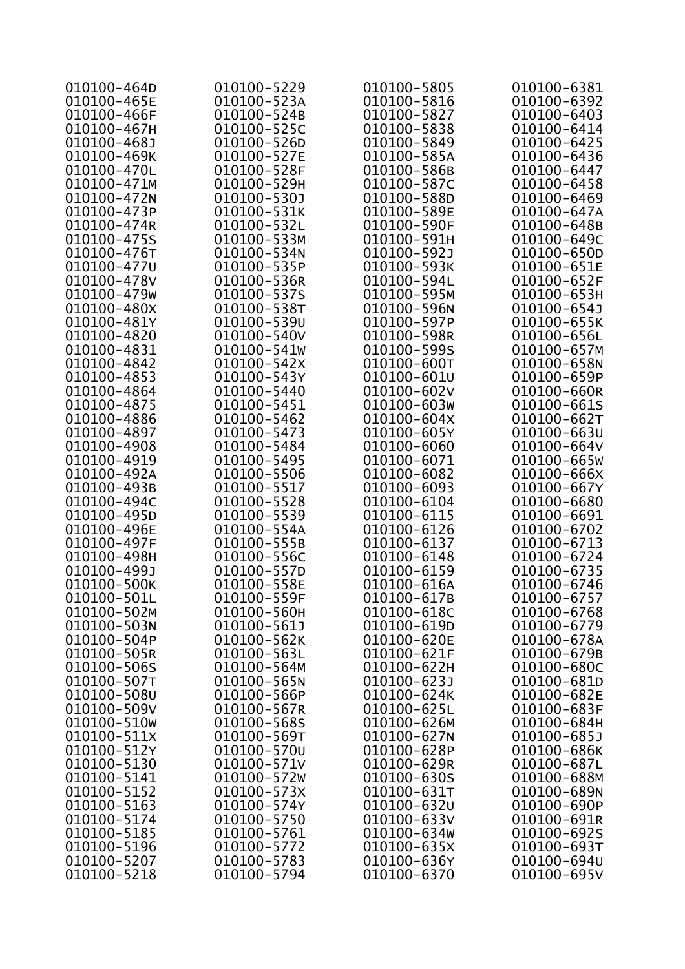| 010100-464D | 010100-5229 | 010100-5805 | 010100-6381 |
|-------------|-------------|-------------|-------------|
| 010100-465E | 010100-523A | 010100-5816 | 010100-6392 |
| 010100-466F | 010100-524B | 010100-5827 | 010100-6403 |
| 010100-467H | 010100-525C | 010100-5838 | 010100-6414 |
| 010100-4681 | 010100-526D | 010100-5849 | 010100-6425 |
| 010100-469K | 010100-527E | 010100-585A | 010100-6436 |
|             |             |             |             |
| 010100-470L | 010100-528F | 010100-586B | 010100-6447 |
| 010100-471M | 010100-529H | 010100-587C | 010100-6458 |
| 010100-472N | 010100-530J | 010100-588D | 010100-6469 |
| 010100-473P | 010100-531K | 010100-589E | 010100-647A |
| 010100-474R | 010100-532L | 010100-590F | 010100-648B |
| 010100-475S | 010100-533M | 010100-591H | 010100-649C |
| 010100-476T | 010100-534N | 010100-592J | 010100-650D |
| 010100-477U | 010100-535P | 010100-593K | 010100-651E |
| 010100-478V | 010100-536R | 010100-594L | 010100-652F |
| 010100-479w | 010100-537S | 010100-595M | 010100-653H |
| 010100-480X | 010100-538T | 010100-596N | 010100-654J |
| 010100-481Y | 010100-539u | 010100-597P | 010100-655K |
| 010100-4820 | 010100-540V | 010100-598R | 010100-656L |
| 010100-4831 | 010100-541w | 010100-599S | 010100-657M |
| 010100-4842 | 010100-542X | 010100-600т | 010100-658N |
| 010100-4853 | 010100-543Y | 010100-601u | 010100-659P |
| 010100-4864 | 010100-5440 | 010100-602V | 010100-660R |
| 010100-4875 | 010100-5451 | 010100-603w | 010100-661s |
| 010100-4886 | 010100-5462 | 010100-604X | 010100-662T |
|             |             |             |             |
| 010100-4897 | 010100-5473 | 010100-605Y | 010100-663U |
| 010100-4908 | 010100-5484 | 010100-6060 | 010100-664V |
| 010100-4919 | 010100-5495 | 010100-6071 | 010100-665w |
| 010100-492A | 010100-5506 | 010100-6082 | 010100-666X |
| 010100-493B | 010100-5517 | 010100-6093 | 010100-667Y |
| 010100-494C | 010100-5528 | 010100-6104 | 010100-6680 |
| 010100-495D | 010100-5539 | 010100-6115 | 010100-6691 |
| 010100-496E | 010100-554A | 010100-6126 | 010100-6702 |
| 010100-497F | 010100-555B | 010100-6137 | 010100-6713 |
| 010100-498H | 010100-556C | 010100-6148 | 010100-6724 |
| 010100-499J | 010100-557D | 010100-6159 | 010100-6735 |
| 010100-500K | 010100-558E | 010100-616A | 010100-6746 |
| 010100-501L | 010100-559F | 010100-617B | 010100-6757 |
| 010100-502M | 010100-560H | 010100-618C | 010100-6768 |
| 010100-503N | 010100-561J | 010100-619D | 010100-6779 |
| 010100-504P | 010100-562K | 010100-620E | 010100-678A |
| 010100-505R | 010100-563L | 010100-621F | 010100-679B |
| 010100-506S | 010100-564M | 010100-622H | 010100-680C |
| 010100-507T | 010100-565N | 010100-623J | 010100-681D |
| 010100-508U | 010100-566P | 010100-624K | 010100-682E |
| 010100-509V | 010100-567R | 010100-625L | 010100-683F |
| 010100-510w | 010100-568S | 010100-626M | 010100-684H |
| 010100-511x | 010100-569T | 010100-627N | 010100-685J |
| 010100-512Y | 010100-570u | 010100-628P | 010100-686K |
| 010100-5130 |             |             |             |
|             | 010100-571v | 010100-629R | 010100-687L |
| 010100-5141 | 010100-572w | 010100-630S | 010100-688M |
| 010100-5152 | 010100-573X | 010100-631T | 010100-689N |
| 010100-5163 | 010100-574Y | 010100-632u | 010100-690P |
| 010100-5174 | 010100-5750 | 010100-633V | 010100-691R |
| 010100-5185 | 010100-5761 | 010100-634w | 010100-692S |
| 010100-5196 | 010100-5772 | 010100-635x | 010100-693T |
| 010100-5207 | 010100-5783 | 010100-636Y | 010100-694U |
| 010100-5218 | 010100-5794 | 010100-6370 | 010100-695V |